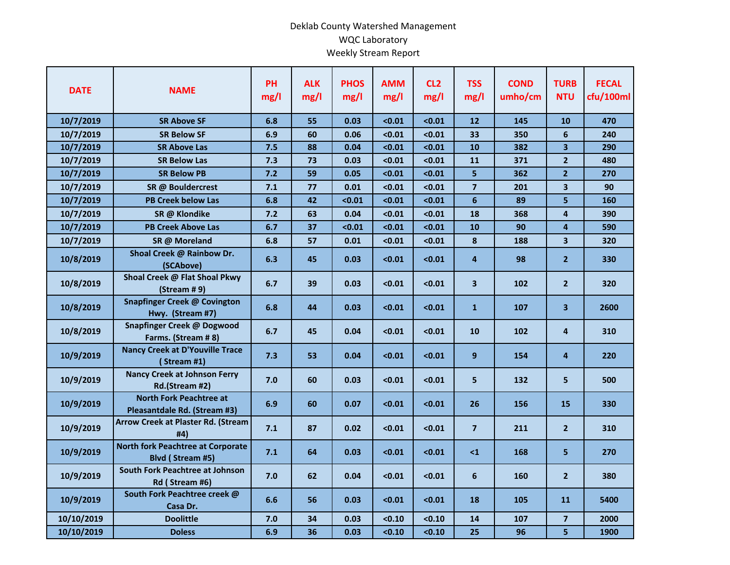## Deklab County Watershed Management WQC Laboratory Weekly Stream Report

| <b>DATE</b> | <b>NAME</b>                                                    | <b>PH</b><br>mg/l | <b>ALK</b><br>mg/l | <b>PHOS</b><br>mg/l | <b>AMM</b><br>mg/l | CL <sub>2</sub><br>mg/l | <b>TSS</b><br>mg/l | <b>COND</b><br>umho/cm | <b>TURB</b><br><b>NTU</b> | <b>FECAL</b><br>cfu/100ml |
|-------------|----------------------------------------------------------------|-------------------|--------------------|---------------------|--------------------|-------------------------|--------------------|------------------------|---------------------------|---------------------------|
| 10/7/2019   | <b>SR Above SF</b>                                             | 6.8               | 55                 | 0.03                | < 0.01             | < 0.01                  | 12                 | 145                    | 10                        | 470                       |
| 10/7/2019   | <b>SR Below SF</b>                                             | 6.9               | 60                 | 0.06                | < 0.01             | < 0.01                  | 33                 | 350                    | 6                         | 240                       |
| 10/7/2019   | <b>SR Above Las</b>                                            | 7.5               | 88                 | 0.04                | < 0.01             | < 0.01                  | 10                 | 382                    | $\overline{\mathbf{3}}$   | 290                       |
| 10/7/2019   | <b>SR Below Las</b>                                            | 7.3               | 73                 | 0.03                | < 0.01             | < 0.01                  | 11                 | 371                    | $\overline{2}$            | 480                       |
| 10/7/2019   | <b>SR Below PB</b>                                             | 7.2               | 59                 | 0.05                | < 0.01             | < 0.01                  | 5                  | 362                    | 2 <sup>1</sup>            | 270                       |
| 10/7/2019   | SR @ Bouldercrest                                              | 7.1               | 77                 | 0.01                | < 0.01             | < 0.01                  | $\overline{7}$     | 201                    | 3                         | 90                        |
| 10/7/2019   | <b>PB Creek below Las</b>                                      | 6.8               | 42                 | < 0.01              | < 0.01             | < 0.01                  | $6\phantom{1}$     | 89                     | 5                         | 160                       |
| 10/7/2019   | SR @ Klondike                                                  | 7.2               | 63                 | 0.04                | < 0.01             | < 0.01                  | 18                 | 368                    | 4                         | 390                       |
| 10/7/2019   | <b>PB Creek Above Las</b>                                      | 6.7               | 37                 | < 0.01              | < 0.01             | < 0.01                  | 10                 | 90                     | 4                         | 590                       |
| 10/7/2019   | SR @ Moreland                                                  | 6.8               | 57                 | 0.01                | < 0.01             | < 0.01                  | 8                  | 188                    | 3                         | 320                       |
| 10/8/2019   | Shoal Creek @ Rainbow Dr.<br>(SCAbove)                         | 6.3               | 45                 | 0.03                | < 0.01             | < 0.01                  | 4                  | 98                     | $\mathbf{2}$              | 330                       |
| 10/8/2019   | Shoal Creek @ Flat Shoal Pkwy<br>(Stream # 9)                  | 6.7               | 39                 | 0.03                | < 0.01             | < 0.01                  | 3                  | 102                    | 2 <sup>1</sup>            | 320                       |
| 10/8/2019   | <b>Snapfinger Creek @ Covington</b><br>Hwy. (Stream #7)        | 6.8               | 44                 | 0.03                | < 0.01             | < 0.01                  | $\mathbf{1}$       | 107                    | 3                         | 2600                      |
| 10/8/2019   | Snapfinger Creek @ Dogwood<br>Farms. (Stream # 8)              | 6.7               | 45                 | 0.04                | < 0.01             | < 0.01                  | 10                 | 102                    | 4                         | 310                       |
| 10/9/2019   | <b>Nancy Creek at D'Youville Trace</b><br>(Stream #1)          | 7.3               | 53                 | 0.04                | < 0.01             | < 0.01                  | 9                  | 154                    | 4                         | 220                       |
| 10/9/2019   | <b>Nancy Creek at Johnson Ferry</b><br>Rd.(Stream #2)          | 7.0               | 60                 | 0.03                | < 0.01             | < 0.01                  | 5                  | 132                    | 5                         | 500                       |
| 10/9/2019   | <b>North Fork Peachtree at</b><br>Pleasantdale Rd. (Stream #3) | 6.9               | 60                 | 0.07                | < 0.01             | < 0.01                  | 26                 | 156                    | 15                        | 330                       |
| 10/9/2019   | <b>Arrow Creek at Plaster Rd. (Stream</b><br>#4)               | 7.1               | 87                 | 0.02                | < 0.01             | < 0.01                  | $\overline{7}$     | 211                    | 2 <sup>1</sup>            | 310                       |
| 10/9/2019   | <b>North fork Peachtree at Corporate</b><br>Blvd (Stream #5)   | 7.1               | 64                 | 0.03                | < 0.01             | < 0.01                  | $\leq 1$           | 168                    | 5                         | 270                       |
| 10/9/2019   | South Fork Peachtree at Johnson<br>Rd (Stream #6)              | 7.0               | 62                 | 0.04                | < 0.01             | < 0.01                  | 6                  | 160                    | 2 <sup>1</sup>            | 380                       |
| 10/9/2019   | South Fork Peachtree creek @<br>Casa Dr.                       | 6.6               | 56                 | 0.03                | < 0.01             | < 0.01                  | 18                 | 105                    | 11                        | 5400                      |
| 10/10/2019  | <b>Doolittle</b>                                               | 7.0               | 34                 | 0.03                | < 0.10             | < 0.10                  | 14                 | 107                    | $\overline{7}$            | 2000                      |
| 10/10/2019  | <b>Doless</b>                                                  | 6.9               | 36                 | 0.03                | < 0.10             | < 0.10                  | 25                 | 96                     | 5                         | 1900                      |